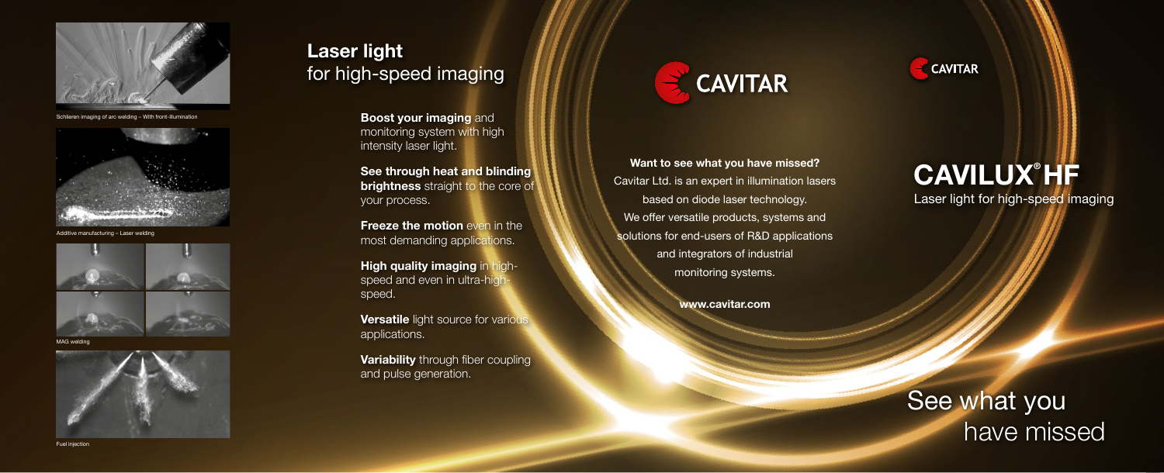**Want to see what you have missed?**  Cavitar Ltd. is an expert in illumination lasers based on diode laser technology. We offer versatile products, systems and solutions for end-users of R&D applications and integrators of industrial monitoring systems.

### **www.cavitar.com**

**Freeze the motion** even in the most demanding applications.

**Laser light**  for high-speed imaging

# **CAVILUX® HF** Laser light for high-speed imaging

**Versatile** light source for various applications.

**Variability** through fiber coupling and pulse generation.



**Boost your imaging** and monitoring system with high intensity laser light.

**See through heat and blinding brightness** straight to the core of your process.

**High quality imaging** in highspeed and even in ultra-highspeed.

# See what you have missed



MAG welding





Schlieren imaging of arc welding – With front-illumination



Additive manufacturing – Laser welding

# **CAVITAR**